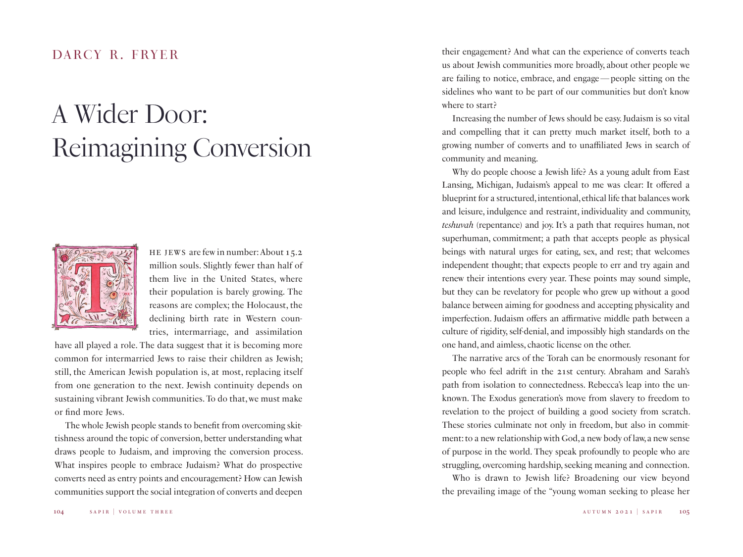## *A Wider Door: Reimagining Conversion*



HE JEWS are few in number: About 15.2 million souls. Slightly fewer than half of them live in the United States, where their population is barely growing. The reasons are complex; the Holocaust, the declining birth rate in Western countries, intermarriage, and assimilation

have all played a role. The data suggest that it is becoming more common for intermarried Jews to raise their children as Jewish; still, the American Jewish population is, at most, replacing itself from one generation to the next. Jewish continuity depends on sustaining vibrant Jewish communities. To do that, we must make or find more Jews.

The whole Jewish people stands to benefit from overcoming skittishness around the topic of conversion, better understanding what draws people to Judaism, and improving the conversion process. What inspires people to embrace Judaism? What do prospective converts need as entry points and encouragement? How can Jewish communities support the social integration of converts and deepen

DARCY R. FRYER their engagement? And what can the experience of converts teach us about Jewish communities more broadly, about other people we are failing to notice, embrace, and engage—people sitting on the sidelines who want to be part of our communities but don't know where to start?

> Increasing the number of Jews should be easy. Judaism is so vital and compelling that it can pretty much market itself, both to a growing number of converts and to unaffiliated Jews in search of community and meaning.

> Why do people choose a Jewish life? As a young adult from East Lansing, Michigan, Judaism's appeal to me was clear: It offered a blueprint for a structured, intentional, ethical life that balances work and leisure, indulgence and restraint, individuality and community, *teshuvah* (repentance) and joy. It's a path that requires human, not superhuman, commitment; a path that accepts people as physical beings with natural urges for eating, sex, and rest; that welcomes independent thought; that expects people to err and try again and renew their intentions every year. These points may sound simple, but they can be revelatory for people who grew up without a good balance between aiming for goodness and accepting physicality and imperfection. Judaism offers an affirmative middle path between a culture of rigidity, self-denial, and impossibly high standards on the one hand, and aimless, chaotic license on the other.

> The narrative arcs of the Torah can be enormously resonant for people who feel adrift in the 21st century. Abraham and Sarah's path from isolation to connectedness. Rebecca's leap into the unknown. The Exodus generation's move from slavery to freedom to revelation to the project of building a good society from scratch. These stories culminate not only in freedom, but also in commitment: to a new relationship with God, a new body of law, a new sense of purpose in the world. They speak profoundly to people who are struggling, overcoming hardship, seeking meaning and connection.

> Who is drawn to Jewish life? Broadening our view beyond the prevailing image of the "young woman seeking to please her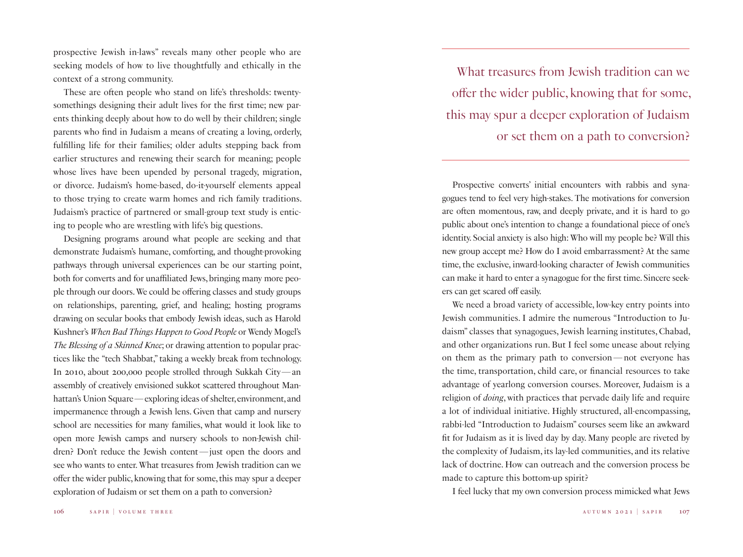prospective Jewish in-laws" reveals many other people who are seeking models of how to live thoughtfully and ethically in the context of a strong community.

These are often people who stand on life's thresholds: twentysomethings designing their adult lives for the first time; new parents thinking deeply about how to do well by their children; single parents who find in Judaism a means of creating a loving, orderly, fulfilling life for their families; older adults stepping back from earlier structures and renewing their search for meaning; people whose lives have been upended by personal tragedy, migration, or divorce. Judaism's home-based, do-it-yourself elements appeal to those trying to create warm homes and rich family traditions. Judaism's practice of partnered or small-group text study is enticing to people who are wrestling with life's big questions.

Designing programs around what people are seeking and that demonstrate Judaism's humane, comforting, and thought-provoking pathways through universal experiences can be our starting point, both for converts and for unaffiliated Jews, bringing many more people through our doors. We could be offering classes and study groups on relationships, parenting, grief, and healing; hosting programs drawing on secular books that embody Jewish ideas, such as Harold Kushner's *When Bad Things Happen to Good People* or Wendy Mogel's *The Blessing of a Skinned Knee*; or drawing attention to popular practices like the "tech Shabbat," taking a weekly break from technology. In 2010, about 200,000 people strolled through Sukkah City—an assembly of creatively envisioned sukkot scattered throughout Manhattan's Union Square—exploring ideas of shelter, environment, and impermanence through a Jewish lens. Given that camp and nursery school are necessities for many families, what would it look like to open more Jewish camps and nursery schools to non-Jewish children? Don't reduce the Jewish content—just open the doors and see who wants to enter. What treasures from Jewish tradition can we offer the wider public, knowing that for some, this may spur a deeper exploration of Judaism or set them on a path to conversion?

What treasures from Jewish tradition can we offer the wider public, knowing that for some, this may spur a deeper exploration of Judaism or set them on a path to conversion?

Prospective converts' initial encounters with rabbis and synagogues tend to feel very high-stakes. The motivations for conversion are often momentous, raw, and deeply private, and it is hard to go public about one's intention to change a foundational piece of one's identity. Social anxiety is also high: Who will my people be? Will this new group accept me? How do I avoid embarrassment? At the same time, the exclusive, inward-looking character of Jewish communities can make it hard to enter a synagogue for the first time. Sincere seekers can get scared off easily.

We need a broad variety of accessible, low-key entry points into Jewish communities. I admire the numerous "Introduction to Judaism" classes that synagogues, Jewish learning institutes, Chabad, and other organizations run. But I feel some unease about relying on them as the primary path to conversion—not everyone has the time, transportation, child care, or financial resources to take advantage of yearlong conversion courses. Moreover, Judaism is a religion of *doing*, with practices that pervade daily life and require a lot of individual initiative. Highly structured, all-encompassing, rabbi-led "Introduction to Judaism" courses seem like an awkward fit for Judaism as it is lived day by day. Many people are riveted by the complexity of Judaism, its lay-led communities, and its relative lack of doctrine. How can outreach and the conversion process be made to capture this bottom-up spirit?

I feel lucky that my own conversion process mimicked what Jews